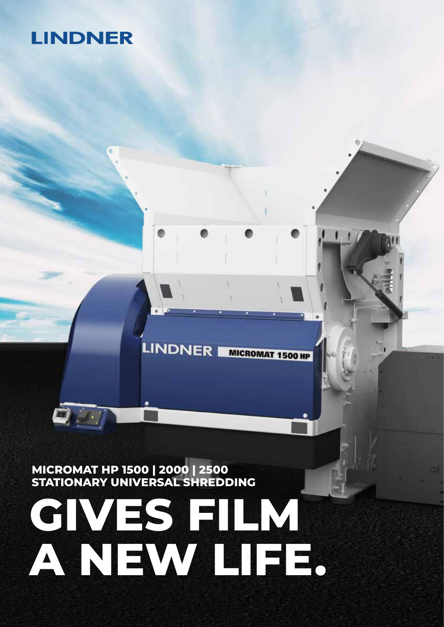## **LINDNER**

**MICROMAT HP 1500 | 2000 | 2500** 

**GIVES FILM A NEW LIFE. STATIONARY UNIVERSAL SHREDDING**

**LINDNER** 

**MICROMAT 1500 HP**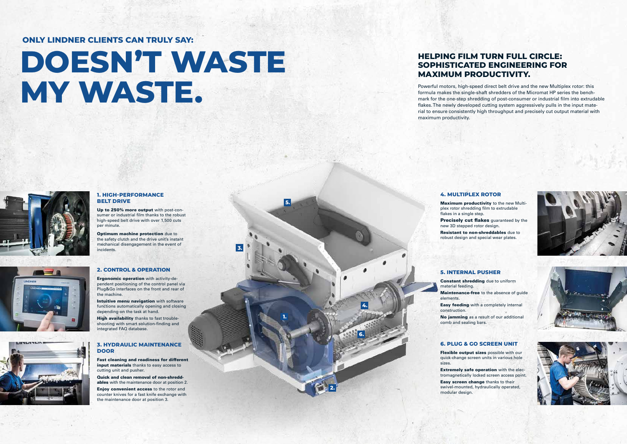**1.**

**2.**

**3.**

**4.**

**5.**

**6.**

#### **1. HIGH-PERFORMANCE BELT DRIVE**

Up to 250% more output with post-consumer or industrial film thanks to the robust high-speed belt drive with over 1,500 cuts per minute.

**Precisely cut flakes** guaranteed by the new 3D stepped rotor design.

Optimum machine protection due to the safety clutch and the drive unit's instant mechanical disengagement in the event of incidents.



#### **4. MULTIPLEX ROTOR**

Maximum productivity to the new Multiplex rotor shredding film to extrudable

flakes in a single step.

Resistant to non-shreddables due to robust design and special wear plates.



# **DOESN'T WASTE MY WASTE.**



#### **ONLY LINDNER CLIENTS CAN TRULY SAY:**

### **HELPING FILM TURN FULL CIRCLE: SOPHISTICATED ENGINEERING FOR MAXIMUM PRODUCTIVITY.**

Intuitive menu navigation with software functions automatically opening and closing depending on the task at hand.

High availability thanks to fast troubleshooting with smart solution-finding and integrated FAQ database.

Powerful motors, high-speed direct belt drive and the new Multiplex rotor: this formula makes the single-shaft shredders of the Micromat HP series the benchmark for the one-step shredding of post-consumer or industrial film into extrudable flakes. The newly developed cutting system aggressively pulls in the input material to ensure consistently high throughput and precisely cut output material with maximum productivity.

> Flexible output sizes possible with our quick-change screen units in various hole sizes.

#### **3. HYDRAULIC MAINTENANCE DOOR**

Fast cleaning and readiness for different input materials thanks to easy access to cutting unit and pusher.

Quick and clean removal of non-shreddables with the maintenance door at position 2.

Enjoy convenient access to the rotor and counter knives for a fast knife exchange with the maintenance door at position 3.

#### **2. CONTROL & OPERATION**

Ergonomic operation with activity-dependent positioning of the control panel via Plug&Go interfaces on the front and rear of the machine.

#### **5. INTERNAL PUSHER**

Constant shredding due to uniform

Maintenance-free to the absence of quide





material feeding. elements.

Easy feeding with a completely internal construction.

No jamming as a result of our additional comb and sealing bars.

#### **6. PLUG & GO SCREEN UNIT**

Extremely safe operation with the electromagnetically locked screen access point. Easy screen change thanks to their swivel-mounted, hydraulically operated,

modular design.